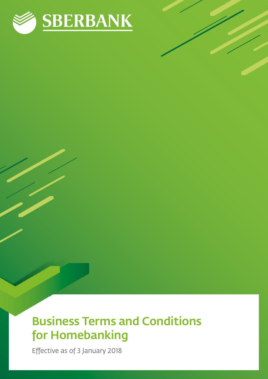

# Business Terms and Conditions for Homebanking

Effective as of 3 January 2018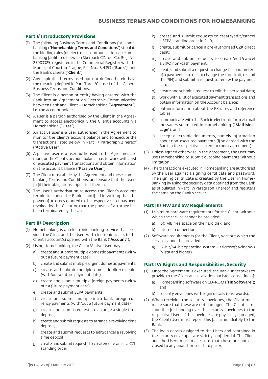# **Part I/ Introductory Provisions**

- (1) The following Business Terms and Conditions for Homebanking ("Homebanking Terms and Conditions") stipulate the binding rules for electronic communication via Homebanking facilitated between Sberbank CZ, a.s., Co. Reg. No.: 25083325, registered in the Commercial Register with the Municipal Court in Prague, File No.: B 4353 ("Bank"), and the Bank's clients ("Client").
- (2) Any capitalised terms used but not defined herein have the meaning defined in Part Three/Clause I of the General Business Terms and Conditions.
- (3) The Client is a person or entity having entered with the Bank into an Agreement on Electronic Communication between Bank and Client - Homebanking ("Agreement"); i.e. the account holder.
- (4) A user is a person authorised by the Client in the Agreement to access electronically the Client's accounts via Homebanking ("User").
- (5) An active user is a user authorised in the Agreement to monitor the Client's account balance and to execute the transactions listed below in Part II/ Paragraph 2 hereof ("Active User").
- (6) A passive user is a user authorised in the Agreement to monitor the Client's account balance, i.e. to work with a list of executed payment transactions and obtain information on the account balance ("Passive User").
- (7) The Client must abide by the Agreement and these Homebanking Terms and Conditions; and ensure that the Users fulfil their obligations stipulated therein.
- (8) The User's authorisation to access the Client's accounts terminates once the Bank is notified in writing that the power of attorney granted to the respective User has been revoked by the Client or that the power of attorney has been terminated by the User.

#### **Part II/ Description**

- (1) Homebanking is an electronic banking service that provides the Client and the Users with electronic access to the Client's account(s) opened with the Bank ("Account").
- (2) Using Homebanking, the Client/Active User may:
	- a) create and submit multiple domestic payments (with/ out a future payment date);
	- b) create and submit multiple urgent domestic payments;
	- c) create and submit multiple domestic direct debits (with/out a future payment date);
	- d) create and submit multiple foreign payments (with/ out a future payment date);
	- e) create and submit SEPA payments;
	- f) create and submit multiple intra-bank foreign currency payments (with/out a future payment date);
	- g) create and submit requests to arrange a single time deposit;
	- h) create and submit requests to arrange a revolving time deposit;
	- i) create and submit requests to edit/cancel a revolving time deposit;
	- j) create and submit requests to create/edit/cancel a CZK standing order;
- k) create and submit requests to create/edit/cancel a SEPA standing order in EUR;
- l) create, submit or cancel a pre-authorised CZK direct debit;
- m) create and submit requests to create/edit/cancel a SIPO non-cash payment;
- n) create and submit a request to change the parameters of a payment card (i.e. to change the card limit, resend the PIN) and submit a request to renew the payment card;
- o) create and submit a request to edit the personal data;
- p) work with a list of executed payment transactions and obtain information on the Account balance;
- q) obtain information about the FX rates and reference tables;
- r) communicate with the Bank in electronic form via mail messages submitted in Homebanking ("Mail Message"); and
- s) accept electronic documents, namely information about non-executed payments (if so agreed with the Bank in the respective current account agreement).
- (3) Unless agreed otherwise in the Agreement, the User may use Homebanking to submit outgoing payments without limitation.
- (4) The transactions executed in Homebanking are authorised by the User against a signing certificate and password. The signing certificate is created by the User in Homebanking by using the security data obtained from the Bank as stipulated in Part IV/Paragraph 1 hereof and registers the same on the Bank's server.

#### **Part III/ HW and SW Requirements**

- (1) Minimum hardware requirements for the Client, without which the service cannot be provided:
	- a) 150 MB free space on the hard disk; and
	- b) internet connection.
- (2) Software requirements for the Client, without which the service cannot be provided:
	- a) 32-bit/64-bit operating system Microsoft Windows (Vista and higher).

#### **Part IV/ Rights and Responsibilities, Security**

- (1) Once the Agreement is executed, the Bank undertakes to provide to the Client an installation package consisting of:
	- a) Homebanking software on CD-ROM ("HB Software"); and
	- b) security envelopes with login details (passwords).
- (2) When receiving the security envelopes, the Client must make sure that these are not damaged. The Client is responsible for handing over the security envelopes to the respective Users. If the envelopes are physically damaged, the Client/User must report this fact immediately to the Bank.
- (3) The login details assigned to the Users and contained in the security envelopes are strictly confidential. The Client and the Users must make sure that these are not disclosed to any unauthorised third party.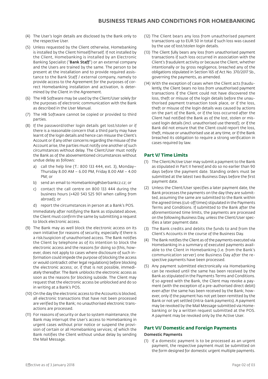- (4) The User's login details are disclosed by the Bank only to the respective User.
- (5) Unless requested by the Client otherwise, Homebanking is installed by the Client himself/herself. If not installed by the Client, Homebanking is installed by an Electronic Banking Specialist ("Bank Staff") or an external company and the Users are trained by the same. The person to be present at the installation and to provide required assistance to the Bank Staff / external company, namely to provide access to the Agreement for the purposes of correct Homebanking installation and activation, is determined by the Client in the Agreement.
- (6) The HB Software may be used by the Client/User solely for the purposes of electronic communication with the Bank as described in the User Manual.
- (7) The HB Software cannot be copied or provided to third parties.
- (8) If the password/other login details get lost/stolen or if there is a reasonable concern that a third party may have learnt of the login details and hence can misuse the Client's Account or if any other concerns regarding the misuse of the Account arise, the parties must notify one another of such circumstances without delay. The Client/User must notify the Bank as of the abovementioned circumstances without undue delay as follows:
	- a) call the help line (T.: 800 133 444, ext. 3), Monday– Thursday 8.00 AM – 6.00 PM, Friday 8.00 AM – 4.00 PM; or
	- b) send an email to Homebanking@sberbankcz.cz; or
	- c) contact the call centre on 800 133 444 during the business hours (+420 543 525 901 when calling from abroad); or
	- d) report the circumstances in person at a Bank's POS.

Immediately after notifying the Bank as stipulated above, the Client must confirm the same by submitting a request to block electronic access.

- (9) The Bank may as well block the electronic access on its own initiative for reasons of security, especially if there is a risk/suspicion of unauthorised access. The Bank notifies the Client by telephone as of its intention to block the electronic access and the reasons for doing so (this, however, does not apply to cases where disclosure of such information could impede the purpose of blocking the access or would contradict other legal regulations) before blocking the electronic access; or, if that is not possible, immediately thereafter. The Bank unblocks the electronic access as soon as the reasons for blocking subside. The Client may request that the electronic access be unblocked and do so in writing at a Bank's POS.
- (10) On the day the electronic access to the Accounts is blocked, all electronic transactions that have not been processed are verified by the Bank; no unauthorised electronic transactions are processed.
- (11) For reasons of security or due to system maintenance, the Bank may interrupt the User's access to Homebanking in urgent cases without prior notice or suspend the provision of certain or all Homebanking services; of which the Bank notifies the Client without undue delay by sending the Mail Message.
- (12) The Client bears any loss from unauthorised payment transactions up to EUR 50 in total if such loss was caused by the use of lost/stolen login details.
- (13) The Client fully bears any loss from unauthorised payment transactions if such loss occurred in association with the Client's fraudulent activity or because the Client, whether intentionally or by gross negligence, breached any of the obligations stipulated in Section 165 of Act No. 370/2017 Sb., governing the payments, as amended.
- (14) With the exception of cases when the Client acts fraudulently, the Client bears no loss from unauthorised payment transactions if the Client could not have discovered the loss, theft or misuse of the login details before the unauthorised payment transaction took place, or if the loss, theft or misuse of the login details was caused by actions on the part of the Bank, or if the loss occurred after the Client had notified the Bank as of the lost, stolen or misused login details (incl. unauthorised use thereof); or if the Bank did not ensure that the Client could report the loss, theft, misuse or unauthorised use at any time, or if the Bank breached its obligation to require a strong verification in cases required by law.

# **Part V/ Time Limits**

- (1) The Client/Active User may submit a payment to the Bank as stipulated in Part II hereof and do so no earlier than 90 days before the payment date. Standing orders must be submitted at the latest two Business Days before the first payment date.
- (2) Unless the Client/User specifies a later payment date, the Bank processes the payments on the day they are submitted, assuming the same are submitted to the Bank within the agreed times (cut-off times) stipulated in the Payments Terms and Conditions. If submitted to the Bank after the aforementioned time limits, the payments are processed on the following Business Day, unless the Client/User specifies a later payment date.
- (3) The Bank credits and debits the funds to and from the Client's Accounts in the course of the Business Day.
- (4) The Bank notifies the Client as of the payments executed via Homebanking in a summary of executed payments available to the Client in Homebanking (i.e. from the Bank's communication server) one Business Day after the respective payments have been processed.
- (5) Any payment submitted electronically via Homebanking can be revoked until the same has been received by the Bank as stipulated in the Payments Terms and Conditions. If so agreed with the Bank, the Client may revoke a payment (with the exception of a pre-authorised direct debit) even after the same has been received by the Bank; however, only if the payment has not yet been remitted by the Bank or not yet settled (intra-bank payments). A payment may be revoked by the Mail Message submitted via Homebanking or by a written request submitted at the POS. A payment may be revoked only by the Active User.

# **Part VI/ Domestic and Foreign Payments**

#### Domestic Payments

(1) If a domestic payment is to be processed as an urgent payment, the respective payment must be submitted on the form designed for domestic urgent multiple payments.